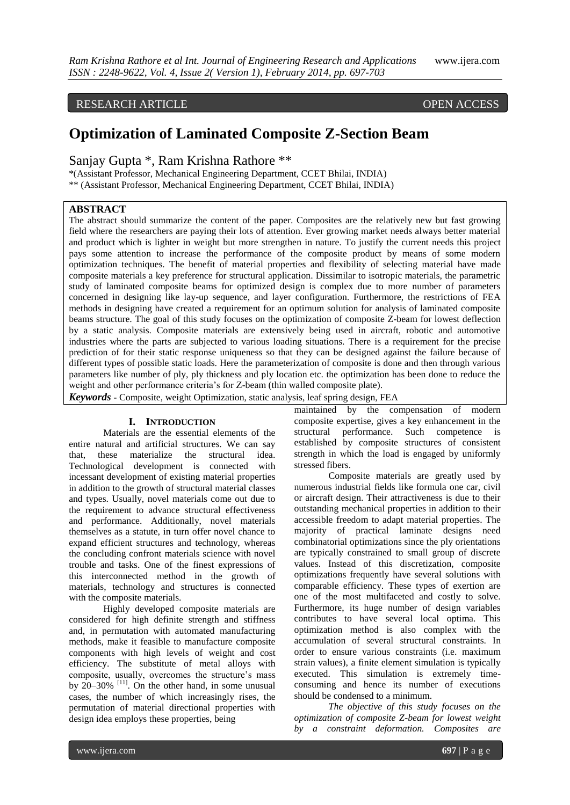## RESEARCH ARTICLE OPEN ACCESS

# **Optimization of Laminated Composite Z-Section Beam**

Sanjay Gupta \*, Ram Krishna Rathore \*\*

\*(Assistant Professor, Mechanical Engineering Department, CCET Bhilai, INDIA) \*\* (Assistant Professor, Mechanical Engineering Department, CCET Bhilai, INDIA)

## **ABSTRACT**

The abstract should summarize the content of the paper. Composites are the relatively new but fast growing field where the researchers are paying their lots of attention. Ever growing market needs always better material and product which is lighter in weight but more strengthen in nature. To justify the current needs this project pays some attention to increase the performance of the composite product by means of some modern optimization techniques. The benefit of material properties and flexibility of selecting material have made composite materials a key preference for structural application. Dissimilar to isotropic materials, the parametric study of laminated composite beams for optimized design is complex due to more number of parameters concerned in designing like lay-up sequence, and layer configuration. Furthermore, the restrictions of FEA methods in designing have created a requirement for an optimum solution for analysis of laminated composite beams structure. The goal of this study focuses on the optimization of composite Z-beam for lowest deflection by a static analysis. Composite materials are extensively being used in aircraft, robotic and automotive industries where the parts are subjected to various loading situations. There is a requirement for the precise prediction of for their static response uniqueness so that they can be designed against the failure because of different types of possible static loads. Here the parameterization of composite is done and then through various parameters like number of ply, ply thickness and ply location etc. the optimization has been done to reduce the weight and other performance criteria's for Z-beam (thin walled composite plate).

*Keywords* **-** Composite, weight Optimization, static analysis, leaf spring design, FEA

### **I. INTRODUCTION**

Materials are the essential elements of the entire natural and artificial structures. We can say that, these materialize the structural idea. Technological development is connected with incessant development of existing material properties in addition to the growth of structural material classes and types. Usually, novel materials come out due to the requirement to advance structural effectiveness and performance. Additionally, novel materials themselves as a statute, in turn offer novel chance to expand efficient structures and technology, whereas the concluding confront materials science with novel trouble and tasks. One of the finest expressions of this interconnected method in the growth of materials, technology and structures is connected with the composite materials.

Highly developed composite materials are considered for high definite strength and stiffness and, in permutation with automated manufacturing methods, make it feasible to manufacture composite components with high levels of weight and cost efficiency. The substitute of metal alloys with composite, usually, overcomes the structure's mass by  $20-30\%$  <sup>[11]</sup>. On the other hand, in some unusual cases, the number of which increasingly rises, the permutation of material directional properties with design idea employs these properties, being

maintained by the compensation of modern composite expertise, gives a key enhancement in the structural performance. Such competence is established by composite structures of consistent strength in which the load is engaged by uniformly stressed fibers.

Composite materials are greatly used by numerous industrial fields like formula one car, civil or aircraft design. Their attractiveness is due to their outstanding mechanical properties in addition to their accessible freedom to adapt material properties. The majority of practical laminate designs need combinatorial optimizations since the ply orientations are typically constrained to small group of discrete values. Instead of this discretization, composite optimizations frequently have several solutions with comparable efficiency. These types of exertion are one of the most multifaceted and costly to solve. Furthermore, its huge number of design variables contributes to have several local optima. This optimization method is also complex with the accumulation of several structural constraints. In order to ensure various constraints (i.e. maximum strain values), a finite element simulation is typically executed. This simulation is extremely timeconsuming and hence its number of executions should be condensed to a minimum.

*The objective of this study focuses on the optimization of composite Z-beam for lowest weight by a constraint deformation. Composites are*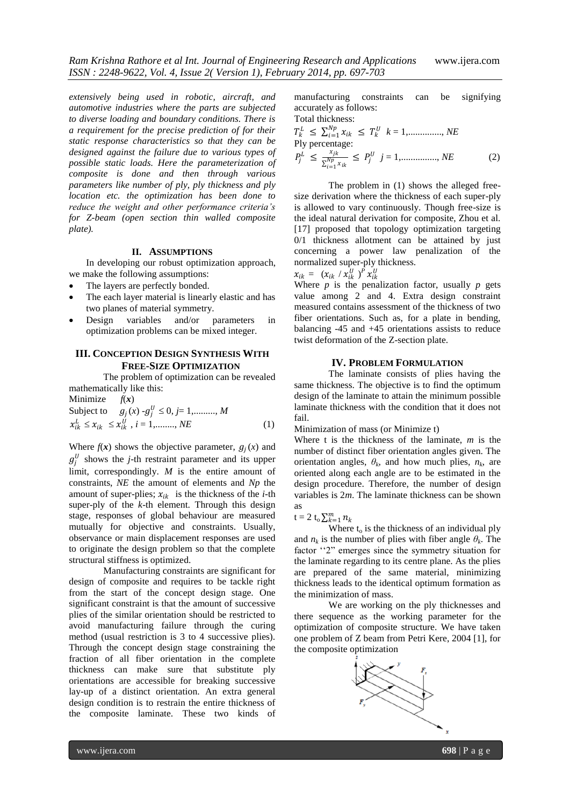*extensively being used in robotic, aircraft, and automotive industries where the parts are subjected to diverse loading and boundary conditions. There is a requirement for the precise prediction of for their static response characteristics so that they can be designed against the failure due to various types of possible static loads. Here the parameterization of composite is done and then through various parameters like number of ply, ply thickness and ply location etc. the optimization has been done to reduce the weight and other performance criteria's for Z-beam (open section thin walled composite plate).*

#### **II. ASSUMPTIONS**

In developing our robust optimization approach, we make the following assumptions:

- The layers are perfectly bonded.
- The each layer material is linearly elastic and has two planes of material symmetry.
- Design variables and/or parameters in optimization problems can be mixed integer.

## **III. CONCEPTION DESIGN SYNTHESIS WITH FREE-SIZE OPTIMIZATION**

The problem of optimization can be revealed mathematically like this:

Minimize  $f(x)$ Subject to  $g_j(x) - g_j^U \le 0, j = 1, \dots, M$  $x_{ik}^L \le x_{ik} \le x_{ik}^U$ ,  $i = 1, \dots, NE$  (1)

Where  $f(x)$  shows the objective parameter,  $g_j(x)$  and  $g_j^U$  shows the *j*-th restraint parameter and its upper limit, correspondingly. *M* is the entire amount of constraints, *NE* the amount of elements and *Np* the amount of super-plies;  $x_{ik}$  is the thickness of the *i*-th super-ply of the *k*-th element. Through this design stage, responses of global behaviour are measured mutually for objective and constraints. Usually, observance or main displacement responses are used to originate the design problem so that the complete structural stiffness is optimized.

Manufacturing constraints are significant for design of composite and requires to be tackle right from the start of the concept design stage. One significant constraint is that the amount of successive plies of the similar orientation should be restricted to avoid manufacturing failure through the curing method (usual restriction is 3 to 4 successive plies). Through the concept design stage constraining the fraction of all fiber orientation in the complete thickness can make sure that substitute ply orientations are accessible for breaking successive lay-up of a distinct orientation. An extra general design condition is to restrain the entire thickness of the composite laminate. These two kinds of

manufacturing constraints can be signifying accurately as follows:

Total thickness:  
\n
$$
T_k^L \le \sum_{i=1}^{Np} x_{ik} \le T_k^U \quad k = 1, \dots, N E
$$
\n
$$
\text{Ply percentage:}
$$
\n
$$
P_j^L \le \frac{x_{jk}}{\sum_{i=1}^{Np} x_{ik}} \le P_j^U \quad j = 1, \dots, N E
$$
\n
$$
(2)
$$

The problem in (1) shows the alleged freesize derivation where the thickness of each super-ply is allowed to vary continuously. Though free-size is the ideal natural derivation for composite, Zhou et al. [17] proposed that topology optimization targeting 0/1 thickness allotment can be attained by just concerning a power law penalization of the normalized super-ply thickness.

$$
x_{ik} = (x_{ik} / x_{ik}^U)^P x_{ik}^U
$$

Where  $p$  is the penalization factor, usually  $p$  gets value among 2 and 4. Extra design constraint measured contains assessment of the thickness of two fiber orientations. Such as, for a plate in bending, balancing -45 and +45 orientations assists to reduce twist deformation of the Z-section plate.

#### **IV. PROBLEM FORMULATION**

The laminate consists of plies having the same thickness. The objective is to find the optimum design of the laminate to attain the minimum possible laminate thickness with the condition that it does not fail.

Minimization of mass (or Minimize t)

Where t is the thickness of the laminate, *m* is the number of distinct fiber orientation angles given. The orientation angles,  $\theta_k$ , and how much plies,  $n_k$ , are oriented along each angle are to be estimated in the design procedure. Therefore, the number of design variables is 2*m*. The laminate thickness can be shown as

 $t = 2 t_0 \sum_{k=1}^{m} n_k$ 

Where  $t_0$  is the thickness of an individual ply and  $n_k$  is the number of plies with fiber angle  $\theta_k$ . The factor "2" emerges since the symmetry situation for the laminate regarding to its centre plane. As the plies are prepared of the same material, minimizing thickness leads to the identical optimum formation as the minimization of mass.

We are working on the ply thicknesses and there sequence as the working parameter for the optimization of composite structure. We have taken one problem of Z beam from Petri Kere, 2004 [1], for the composite optimization

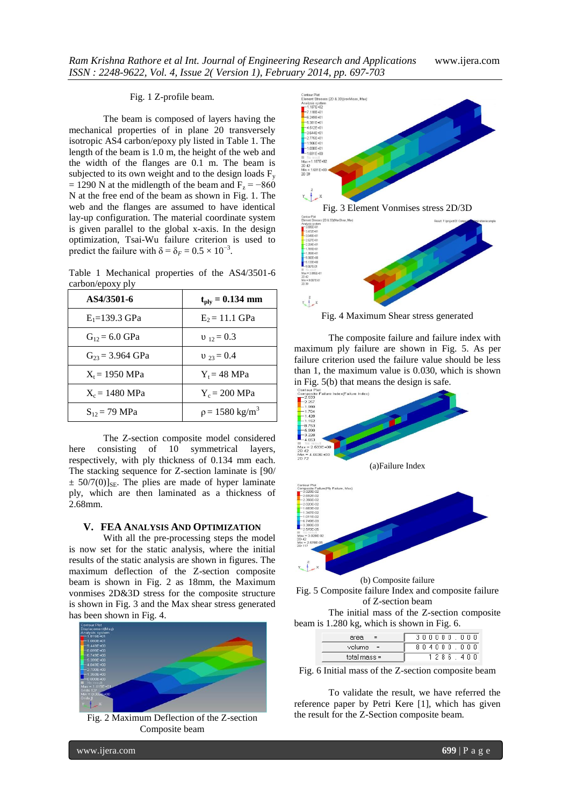#### Fig. 1 Z-profile beam.

The beam is composed of layers having the mechanical properties of in plane 20 transversely isotropic AS4 carbon/epoxy ply listed in Table 1. The length of the beam is 1.0 m, the height of the web and the width of the flanges are 0.1 m. The beam is subjected to its own weight and to the design loads  $F_v$  $= 1290$  N at the midlength of the beam and F<sub>z</sub> =  $-860$ N at the free end of the beam as shown in Fig. 1. The web and the flanges are assumed to have identical lay-up configuration. The material coordinate system is given parallel to the global x-axis. In the design optimization, Tsai-Wu failure criterion is used to predict the failure with  $\delta = \delta_F = 0.5 \times 10^{-3}$ .

Table 1 Mechanical properties of the AS4/3501-6 carbon/epoxy ply

| AS4/3501-6                 | $t_{\rm{ply}} = 0.134$ mm    |
|----------------------------|------------------------------|
| $E_1 = 139.3$ GPa          | $E_2 = 11.1$ GPa             |
| $G_{12} = 6.0 \text{ GPa}$ | $v_{12} = 0.3$               |
| $G_{23} = 3.964$ GPa       | $v_{23} = 0.4$               |
| $X_t = 1950 \text{ MPa}$   | $Y_t = 48 \text{ MPa}$       |
| $X_c = 1480 \text{ MPa}$   | $Y_c = 200$ MPa              |
| $S_{12} = 79 \text{ MPa}$  | $p = 1580$ kg/m <sup>3</sup> |

The Z-section composite model considered here consisting of 10 symmetrical layers, respectively, with ply thickness of 0.134 mm each. The stacking sequence for Z-section laminate is [90/  $\pm$  50/7(0)]<sub>SE</sub>. The plies are made of hyper laminate ply, which are then laminated as a thickness of 2.68mm.

#### **V. FEA ANALYSIS AND OPTIMIZATION**

With all the pre-processing steps the model is now set for the static analysis, where the initial results of the static analysis are shown in figures. The maximum deflection of the Z-section composite beam is shown in Fig. 2 as 18mm, the Maximum vonmises 2D&3D stress for the composite structure is shown in Fig. 3 and the Max shear stress generated has been shown in Fig. 4.



Fig. 2 Maximum Deflection of the Z-section Composite beam



Fig. 4 Maximum Shear stress generated

The composite failure and failure index with maximum ply failure are shown in Fig. 5. As per failure criterion used the failure value should be less than 1, the maximum value is 0.030, which is shown







The initial mass of the Z-section composite beam is 1.280 kg, which is shown in Fig. 6.

| area           | 3 0 0 0 0 0 0 0 0 |
|----------------|-------------------|
| volume =       | 804000.000        |
| total mass $=$ | 1286.<br>4 N N    |

Fig. 6 Initial mass of the Z-section composite beam

To validate the result, we have referred the reference paper by Petri Kere [1], which has given the result for the Z-Section composite beam.

www.ijera.com **699** | P a g e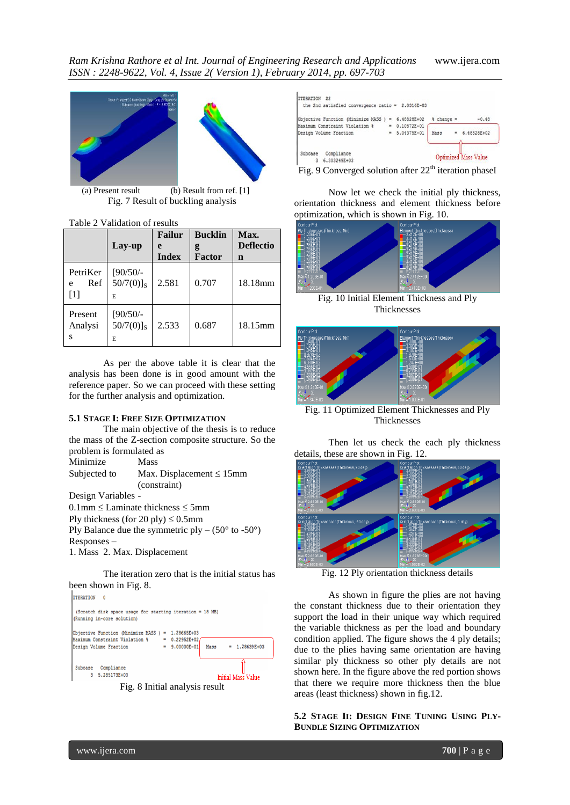

(a) Present result (b) Result from ref. [1] Fig. 7 Result of buckling analysis

Table 2 Validation of results

|                             | Lay-up                                               | <b>Failur</b><br>e<br><b>Index</b> | <b>Bucklin</b><br>g<br>Factor | Max.<br><b>Deflectio</b><br>n |
|-----------------------------|------------------------------------------------------|------------------------------------|-------------------------------|-------------------------------|
| PetriKer<br>Ref<br>e<br>[1] | $[90/50/-$<br>$50/7(0)$ ] <sub>S</sub><br>E.         | 2.581                              | 0.707                         | 18.18mm                       |
| Present<br>Analysi<br>S     | $[90/50/-$<br>$50/7(0)$ ] <sub>S</sub><br>2.533<br>E |                                    | 0.687                         | 18.15mm                       |

As per the above table it is clear that the analysis has been done is in good amount with the reference paper. So we can proceed with these setting for the further analysis and optimization.

#### **5.1 STAGE I: FREE SIZE OPTIMIZATION**

The main objective of the thesis is to reduce the mass of the Z-section composite structure. So the problem is formulated as

```
Minimize Mass
Subjected to Max. Displacement \leq 15mm
              (constraint)
```
Design Variables -

 $0.1$ mm  $\leq$  Laminate thickness  $\leq$  5mm

Ply thickness (for 20 ply)  $\leq 0.5$ mm

Ply Balance due the symmetric ply –  $(50^{\circ}$  to -50°) Responses –

1. Mass 2. Max. Displacement

The iteration zero that is the initial status has been shown in Fig. 8.





| the 2nd satisfied convergence ratio = $2.0316E-03$ |          |             |                        |                             |
|----------------------------------------------------|----------|-------------|------------------------|-----------------------------|
| Objective Function (Minimize MASS )                | $\equiv$ | 6.48828E+02 | $\frac{1}{2}$ change = | $-0.48$                     |
| Maximum Constraint Violation &                     |          | 0.10872E-01 |                        |                             |
| Design Volume Fraction                             |          | 5.04375E-01 | Mass                   | 6.48828E+02                 |
|                                                    |          |             |                        |                             |
| Compliance<br>Subcase                              |          |             |                        | <b>Optimized Mass Value</b> |
| 6.303249E+03<br>3                                  |          |             |                        |                             |

Fig. 9 Converged solution after  $22<sup>th</sup>$  iteration phaseI

Now let we check the initial ply thickness, orientation thickness and element thickness before optimization, which is shown in Fig. 10.



Fig. 10 Initial Element Thickness and Ply Thicknesses



Fig. 11 Optimized Element Thicknesses and Ply Thicknesses

Then let us check the each ply thickness details, these are shown in Fig. 12.



Fig. 12 Ply orientation thickness details

As shown in figure the plies are not having the constant thickness due to their orientation they support the load in their unique way which required the variable thickness as per the load and boundary condition applied. The figure shows the 4 ply details; due to the plies having same orientation are having similar ply thickness so other ply details are not shown here. In the figure above the red portion shows that there we require more thickness then the blue areas (least thickness) shown in fig.12.

**5.2 STAGE II: DESIGN FINE TUNING USING PLY-BUNDLE SIZING OPTIMIZATION**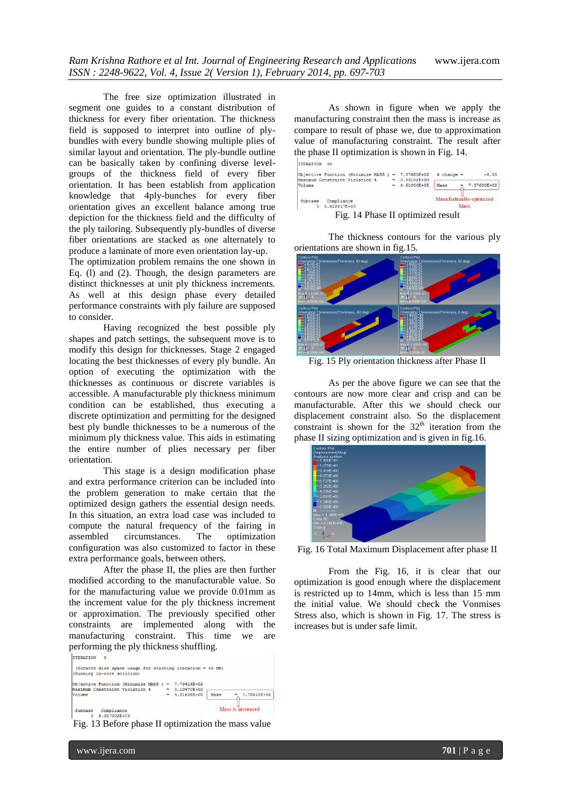The free size optimization illustrated in segment one guides to a constant distribution of thickness for every fiber orientation. The thickness field is supposed to interpret into outline of plybundles with every bundle showing multiple plies of similar layout and orientation. The ply-bundle outline can be basically taken by confining diverse levelgroups of the thickness field of every fiber orientation. It has been establish from application knowledge that 4ply-bunches for every fiber orientation gives an excellent balance among true depiction for the thickness field and the difficulty of the ply tailoring. Subsequently ply-bundles of diverse fiber orientations are stacked as one alternately to produce a laminate of more even orientation lay-up.

The optimization problem remains the one shown in Eq. (l) and (2). Though, the design parameters are distinct thicknesses at unit ply thickness increments. As well at this design phase every detailed performance constraints with ply failure are supposed to consider.

Having recognized the best possible ply shapes and patch settings, the subsequent move is to modify this design for thicknesses. Stage 2 engaged locating the best thicknesses of every ply bundle. An option of executing the optimization with the thicknesses as continuous or discrete variables is accessible. A manufacturable ply thickness minimum condition can be established, thus executing a discrete optimization and permitting for the designed best ply bundle thicknesses to be a numerous of the minimum ply thickness value. This aids in estimating the entire number of plies necessary per fiber orientation.

This stage is a design modification phase and extra performance criterion can be included into the problem generation to make certain that the optimized design gathers the essential design needs. In this situation, an extra load case was included to compute the natural frequency of the fairing in assembled circumstances. The optimization configuration was also customized to factor in these extra performance goals, between others.

After the phase II, the plies are then further modified according to the manufacturable value. So for the manufacturing value we provide 0.01mm as the increment value for the ply thickness increment or approximation. The previously specified other constraints are implemented along with the manufacturing constraint. This time we are

performing the ply thickness shuffling. (Scratch disk space usage for starting iteration = 63 MB)<br>(Running in-core solution) |<br>|Objective Function (Minimize MASS ) = 7.70618E+02<br>|Maximum Constraint Violation % = 0.10970E+02 =  $0.10970E+02$ <br>=  $4.81636E+05$  Mass Volume 7.70618E+02 Mass is increased Subcase Compliance<br>3 5.357002E+03

Fig. 13 Before phase II optimization the mass value

As shown in figure when we apply the manufacturing constraint then the mass is increase as compare to result of phase we, due to approximation value of manufacturing constraint. The result after the phase II optimization is shown in Fig. 14.

| Objective Function (Minimize MASS )<br>Maximum Constraint Violation % | $\equiv$ | 7.37680E+02<br>0.93102E+00 | $\frac{1}{2}$ change =<br>$-0.55$ |  |  |
|-----------------------------------------------------------------------|----------|----------------------------|-----------------------------------|--|--|
| Volume                                                                |          | 4.61050E+05                | 7.37680E+02<br>Mass               |  |  |
| Compliance<br>Subcase<br>5.822817E+03<br>з                            |          |                            | Manufacturable optimized<br>Mass  |  |  |
| Fig. 14 Phase II optimized result                                     |          |                            |                                   |  |  |

The thickness contours for the various ply orientations are shown in fig.15.



Fig. 15 Ply orientation thickness after Phase II

As per the above figure we can see that the contours are now more clear and crisp and can be manufacturable. After this we should check our displacement constraint also. So the displacement constraint is shown for the  $32<sup>th</sup>$  iteration from the phase II sizing optimization and is given in fig.16.



Fig. 16 Total Maximum Displacement after phase II

From the Fig. 16, it is clear that our optimization is good enough where the displacement is restricted up to 14mm, which is less than 15 mm the initial value. We should check the Vonmises Stress also, which is shown in Fig. 17. The stress is increases but is under safe limit.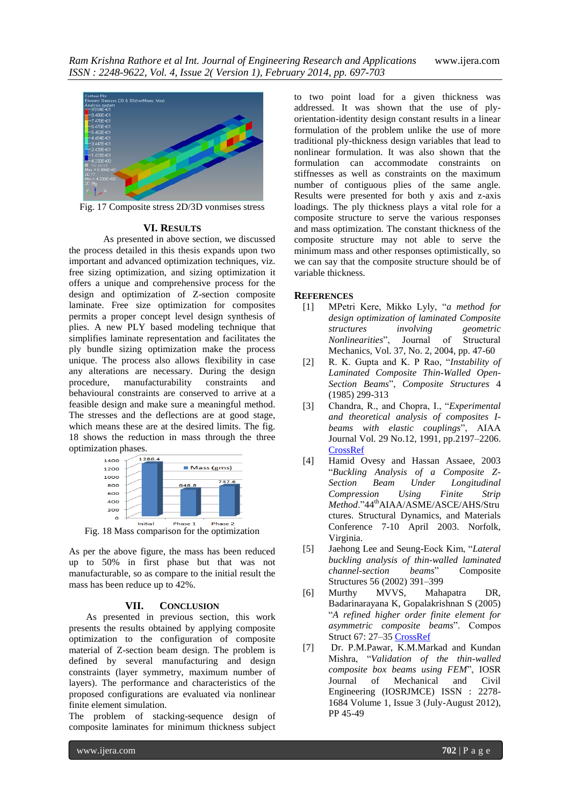

Fig. 17 Composite stress 2D/3D vonmises stress

## **VI. RESULTS**

As presented in above section, we discussed the process detailed in this thesis expands upon two important and advanced optimization techniques, viz. free sizing optimization, and sizing optimization it offers a unique and comprehensive process for the design and optimization of Z-section composite laminate. Free size optimization for composites permits a proper concept level design synthesis of plies. A new PLY based modeling technique that simplifies laminate representation and facilitates the ply bundle sizing optimization make the process unique. The process also allows flexibility in case any alterations are necessary. During the design procedure, manufacturability constraints and behavioural constraints are conserved to arrive at a feasible design and make sure a meaningful method. The stresses and the deflections are at good stage, which means these are at the desired limits. The fig. 18 shows the reduction in mass through the three optimization phases.



Fig. 18 Mass comparison for the optimization

As per the above figure, the mass has been reduced up to 50% in first phase but that was not manufacturable, so as compare to the initial result the mass has been reduce up to 42%.

## **VII. CONCLUSION**

As presented in previous section, this work presents the results obtained by applying composite optimization to the configuration of composite material of Z-section beam design. The problem is defined by several manufacturing and design constraints (layer symmetry, maximum number of layers). The performance and characteristics of the proposed configurations are evaluated via nonlinear finite element simulation.

The problem of stacking-sequence design of composite laminates for minimum thickness subject

to two point load for a given thickness was addressed. It was shown that the use of plyorientation-identity design constant results in a linear formulation of the problem unlike the use of more traditional ply-thickness design variables that lead to nonlinear formulation. It was also shown that the formulation can accommodate constraints on stiffnesses as well as constraints on the maximum number of contiguous plies of the same angle. Results were presented for both y axis and z-axis loadings. The ply thickness plays a vital role for a composite structure to serve the various responses and mass optimization. The constant thickness of the composite structure may not able to serve the minimum mass and other responses optimistically, so we can say that the composite structure should be of variable thickness.

## **REFERENCES**

- <span id="page-5-0"></span>[1] MPetri Kere, Mikko Lyly, "*a method for design optimization of laminated Composite structures involving geometric Nonlinearities*", Journal of Structural Mechanics, Vol. 37, No. 2, 2004, pp. 47-60
- [2] R. K. Gupta and K. P Rao, "*Instability of Laminated Composite Thin-Walled Open-Section Beams*", *Composite Structures* 4 (1985) 299-313
- [3] Chandra, R., and Chopra, I., "*Experimental and theoretical analysis of composites Ibeams with elastic couplings*", AIAA Journal Vol. 29 No.12, 1991, pp.2197–2206. [CrossRef](http://arc.aiaa.org/doi/abs/10.2514/3.10860)
- [4] Hamid Ovesy and Hassan Assaee, 2003 "*Buckling Analysis of a Composite Z-Section Beam Under Longitudinal Compression Using Finite Strip Method.*"44<sup>th</sup>AIAA/ASME/ASCE/AHS/Stru ctures. Structural Dynamics, and Materials Conference 7-10 April 2003. Norfolk, Virginia.
- [5] Jaehong Lee and Seung-Eock Kim, "*Lateral buckling analysis of thin-walled laminated channel-section beams*" Composite Structures 56 (2002) 391–399
- [6] Murthy MVVS, Mahapatra DR, Badarinarayana K, Gopalakrishnan S (2005) "*A refined higher order finite element for asymmetric composite beams*". Compos Struct 67: 27–3[5 CrossRef](http://dx.doi.org/10.1016/j.compstruct.2004.01.005)
- [7] Dr. P.M.Pawar, K.M.Markad and Kundan Mishra, "*Validation of the thin-walled composite box beams using FEM*", IOSR Journal of Mechanical and Civil Engineering (IOSRJMCE) ISSN : 2278- 1684 Volume 1, Issue 3 (July-August 2012), PP 45-49